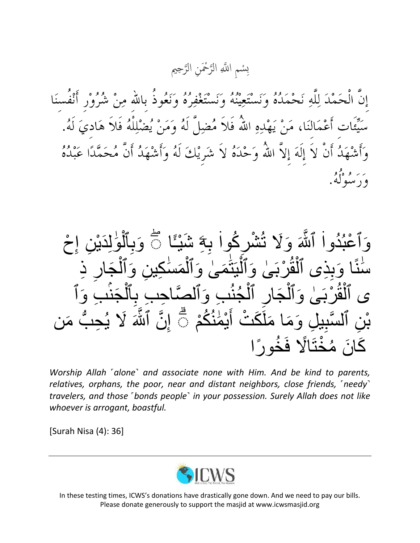سْمِ اللَّهِ الرَّحْمَنِ الرَّحِيم ته<br>ل ت<br>لا  $\overline{\mathbf{C}}$ ِب

إِنَّ الْحَمْدَ لِلَّهِ نَحْمَدُهُ وَنَسْتَعِيْنُهُ وَنَسْتَغْفِرُهُ وَنَعُوذُ بِاللهِ مِنْ شُرُوْرٍ أَنْفُسنَا سَيِّئَاتِ أَعْمَالنَا، مَنْ يَهْدِهِ اللَّهُ فَلاَ مُضِلٌّ لَهُ وَمَنْ يُضْلِلْهُ فَلاَ هَادِيَ لَهُ. وَأَشْهَدُ أَنْ لاَ إِلَهَ إِلاَّ اللَّهُ وَحْدَهُ لاَ شَرِيْكَ لَهُ وَأَشْهَدُ أَنَّ مُحَمَّدًا عَبْدُهُ بر او هڅو.<br>ورسوله

آلوُٰلِدَيْنِ ۚ إِحْ o<br>V  $\frac{1}{2}$  $\ddot{\phantom{0}}$ َٰ  $\overline{\phantom{a}}$  $\overline{\phantom{a}}$ وَٱعْبُدُواْ ٱللَّهَ وَلَا تُشْرِكُواْ بِهَ شَيْئًا ﴾ وَبِ  $\ddot{\phantom{0}}$ ة<br>لما  $\vdots$ ِر ِذ َجا  $\tilde{ }$ وَبِذِى ٱلْقُرْبَىٰ وَٱلْيَتَمَىٰ وَٱلْمَسْكِينِ وَٱلْ ֝֝֝֝֝**֝**  $\tilde{ }$ ا<br>ا <u>ُ</u>  $\tilde{ }$  $\overline{a}$ ءِ<br>پيد  $\tilde{ }$ ًٔا ن ا<br>ا ِرِ<br>سا ِب َوٱ י<br>נ َجن  $\overline{\phantom{a}}$ ى ٱلْقُرْبَىٰ وَٱلْجَارِ ٱلْجُنُبِ وَٱلْصَّاحِبِ بِٱلْ ِ اِس و<br>∟ ر<br>د  $\overline{\phantom{a}}$  $\overline{\phantom{a}}$  $\overline{a}$ ڊ<br>ا  $\mathbf{r}$ ب َمن  $\overline{ }$ ُ ِح نِ ٱلسَّبِيلِ وَمَا مَلَكَتْ أَيْمَٰنُكُمْ ﴾ إِنَّ ٱلثَّٰهَ لَا يُـ تہ<br>لگا نَهُ<br>ُ  $\frac{1}{2}$  $\ddot{\phantom{0}}$ م<br>ا<br>ا ه ما  $\overline{\phantom{0}}$ كَانَ مُخْتَالًا فَخُورًا ًٔ  $\overline{\phantom{a}}$ 

*Worship Allah ˹alone˺ and associate none with Him. And be kind to parents, relatives, orphans, the poor, near and distant neighbors, close friends, ˹needy˺ travelers, and those ˹bonds people˺ in your possession. Surely Allah does not like whoever is arrogant, boastful.*

[Surah Nisa (4): 36]



In these testing times, ICWS's donations have drastically gone down. And we need to pay our bills. Please donate generously to support the masjid at www.icwsmasjid.org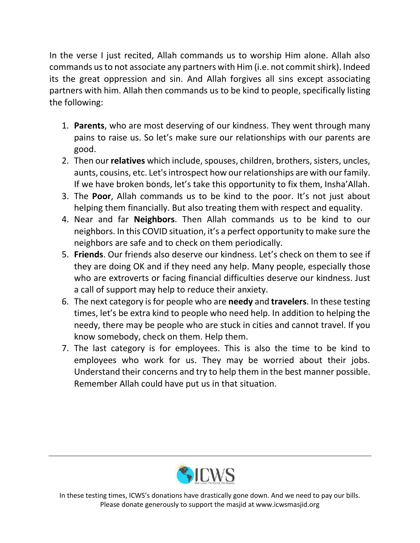In the verse I just recited, Allah commands us to worship Him alone. Allah also commands us to not associate any partners with Him (i.e. not commit shirk). Indeed its the great oppression and sin. And Allah forgives all sins except associating partners with him. Allah then commands us to be kind to people, specifically listing the following:

- 1. **Parents**, who are most deserving of our kindness. They went through many pains to raise us. So let's make sure our relationships with our parents are good.
- 2. Then our **relatives** which include, spouses, children, brothers, sisters, uncles, aunts, cousins, etc. Let's introspect how our relationships are with our family. If we have broken bonds, let's take this opportunity to fix them, Insha'Allah.
- 3. The **Poor**, Allah commands us to be kind to the poor. It's not just about helping them financially. But also treating them with respect and equality.
- 4. Near and far **Neighbors**. Then Allah commands us to be kind to our neighbors. In this COVID situation, it's a perfect opportunity to make sure the neighbors are safe and to check on them periodically.
- 5. **Friends**. Our friends also deserve our kindness. Let's check on them to see if they are doing OK and if they need any help. Many people, especially those who are extroverts or facing financial difficulties deserve our kindness. Just a call of support may help to reduce their anxiety.
- 6. The next category is for people who are **needy** and **travelers**. In these testing times, let's be extra kind to people who need help. In addition to helping the needy, there may be people who are stuck in cities and cannot travel. If you know somebody, check on them. Help them.
- 7. The last category is for employees. This is also the time to be kind to employees who work for us. They may be worried about their jobs. Understand their concerns and try to help them in the best manner possible. Remember Allah could have put us in that situation.



In these testing times, ICWS's donations have drastically gone down. And we need to pay our bills. Please donate generously to support the masjid at www.icwsmasjid.org